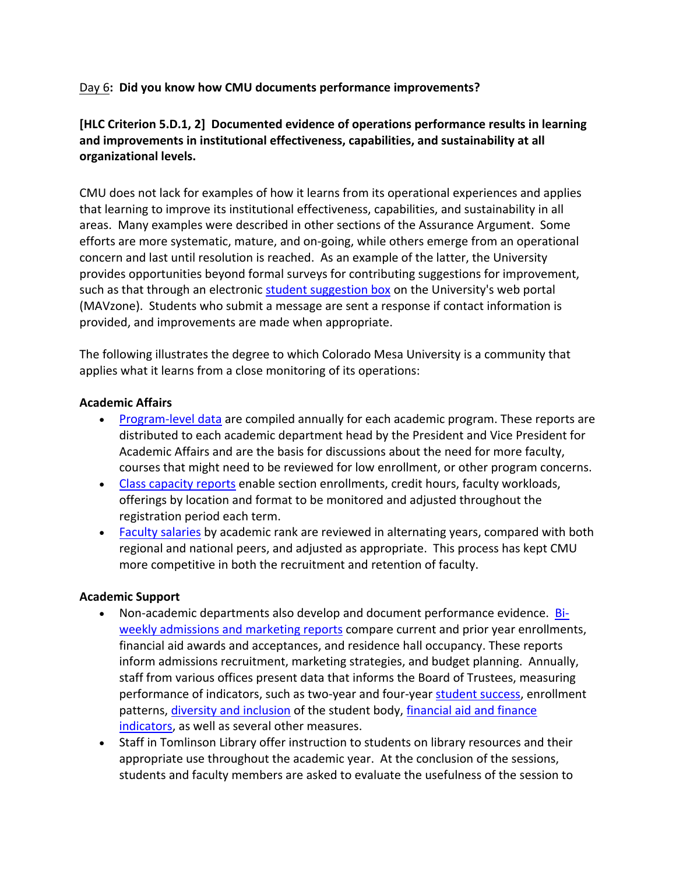## Day 6**: Did you know how CMU documents performance improvements?**

## **[HLC Criterion 5.D.1, 2] Documented evidence of operations performance results in learning and improvements in institutional effectiveness, capabilities, and sustainability at all organizational levels.**

CMU does not lack for examples of how it learns from its operational experiences and applies that learning to improve its institutional effectiveness, capabilities, and sustainability in all areas. Many examples were described in other sections of the Assurance Argument. Some efforts are more systematic, mature, and on‐going, while others emerge from an operational concern and last until resolution is reached. As an example of the latter, the University provides opportunities beyond formal surveys for contributing suggestions for improvement, such as that through an electronic student suggestion box on the University's web portal (MAVzone). Students who submit a message are sent a response if contact information is provided, and improvements are made when appropriate.

The following illustrates the degree to which Colorado Mesa University is a community that applies what it learns from a close monitoring of its operations:

### **Academic Affairs**

- Program-level data are compiled annually for each academic program. These reports are distributed to each academic department head by the President and Vice President for Academic Affairs and are the basis for discussions about the need for more faculty, courses that might need to be reviewed for low enrollment, or other program concerns.
- Class capacity reports enable section enrollments, credit hours, faculty workloads, offerings by location and format to be monitored and adjusted throughout the registration period each term.
- Faculty salaries by academic rank are reviewed in alternating years, compared with both regional and national peers, and adjusted as appropriate. This process has kept CMU more competitive in both the recruitment and retention of faculty.

## **Academic Support**

- Non-academic departments also develop and document performance evidence. **Bi**weekly admissions and marketing reports compare current and prior year enrollments, financial aid awards and acceptances, and residence hall occupancy. These reports inform admissions recruitment, marketing strategies, and budget planning. Annually, staff from various offices present data that informs the Board of Trustees, measuring performance of indicators, such as two‐year and four‐year student success, enrollment patterns, diversity and inclusion of the student body, financial aid and finance indicators, as well as several other measures.
- Staff in Tomlinson Library offer instruction to students on library resources and their appropriate use throughout the academic year. At the conclusion of the sessions, students and faculty members are asked to evaluate the usefulness of the session to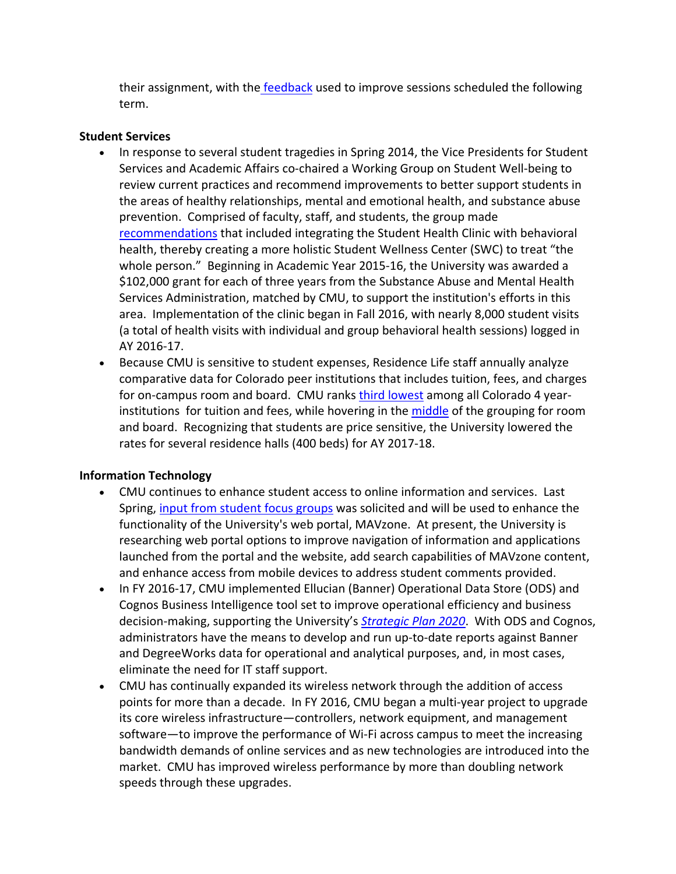their assignment, with the feedback used to improve sessions scheduled the following term.

## **Student Services**

- In response to several student tragedies in Spring 2014, the Vice Presidents for Student Services and Academic Affairs co‐chaired a Working Group on Student Well‐being to review current practices and recommend improvements to better support students in the areas of healthy relationships, mental and emotional health, and substance abuse prevention. Comprised of faculty, staff, and students, the group made recommendations that included integrating the Student Health Clinic with behavioral health, thereby creating a more holistic Student Wellness Center (SWC) to treat "the whole person." Beginning in Academic Year 2015‐16, the University was awarded a \$102,000 grant for each of three years from the Substance Abuse and Mental Health Services Administration, matched by CMU, to support the institution's efforts in this area. Implementation of the clinic began in Fall 2016, with nearly 8,000 student visits (a total of health visits with individual and group behavioral health sessions) logged in AY 2016‐17.
- Because CMU is sensitive to student expenses, Residence Life staff annually analyze comparative data for Colorado peer institutions that includes tuition, fees, and charges for on-campus room and board. CMU ranks third lowest among all Colorado 4 yearinstitutions for tuition and fees, while hovering in the middle of the grouping for room and board. Recognizing that students are price sensitive, the University lowered the rates for several residence halls (400 beds) for AY 2017‐18.

# **Information Technology**

- CMU continues to enhance student access to online information and services. Last Spring, input from student focus groups was solicited and will be used to enhance the functionality of the University's web portal, MAVzone. At present, the University is researching web portal options to improve navigation of information and applications launched from the portal and the website, add search capabilities of MAVzone content, and enhance access from mobile devices to address student comments provided.
- In FY 2016-17, CMU implemented Ellucian (Banner) Operational Data Store (ODS) and Cognos Business Intelligence tool set to improve operational efficiency and business decision‐making, supporting the University's *Strategic Plan 2020*. With ODS and Cognos, administrators have the means to develop and run up-to-date reports against Banner and DegreeWorks data for operational and analytical purposes, and, in most cases, eliminate the need for IT staff support.
- CMU has continually expanded its wireless network through the addition of access points for more than a decade. In FY 2016, CMU began a multi‐year project to upgrade its core wireless infrastructure—controllers, network equipment, and management software—to improve the performance of Wi-Fi across campus to meet the increasing bandwidth demands of online services and as new technologies are introduced into the market. CMU has improved wireless performance by more than doubling network speeds through these upgrades.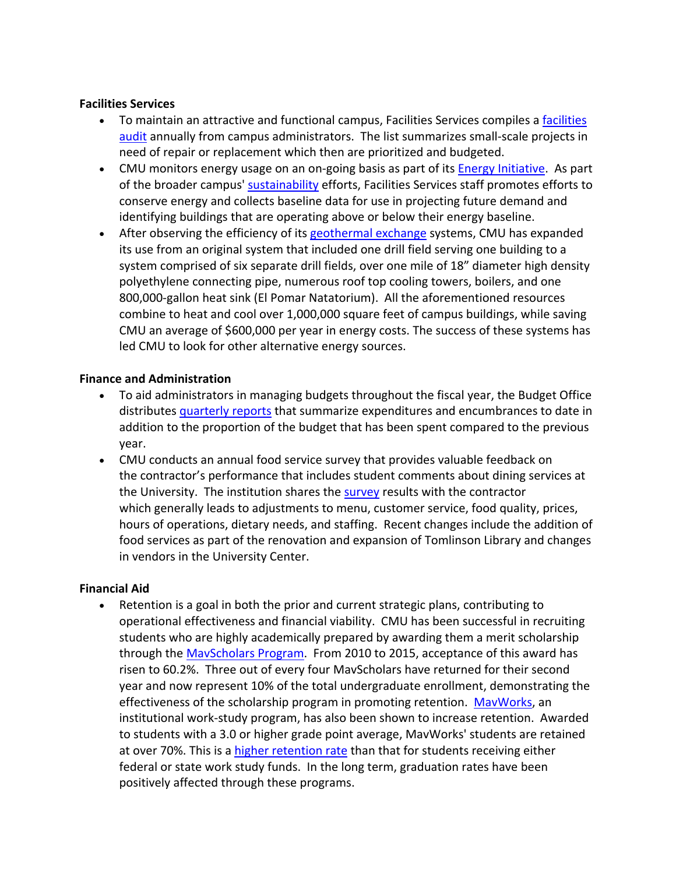### **Facilities Services**

- To maintain an attractive and functional campus, Facilities Services compiles a facilities audit annually from campus administrators. The list summarizes small‐scale projects in need of repair or replacement which then are prioritized and budgeted.
- CMU monitors energy usage on an on-going basis as part of its **Energy Initiative**. As part of the broader campus' sustainability efforts, Facilities Services staff promotes efforts to conserve energy and collects baseline data for use in projecting future demand and identifying buildings that are operating above or below their energy baseline.
- After observing the efficiency of its geothermal exchange systems, CMU has expanded its use from an original system that included one drill field serving one building to a system comprised of six separate drill fields, over one mile of 18" diameter high density polyethylene connecting pipe, numerous roof top cooling towers, boilers, and one 800,000‐gallon heat sink (El Pomar Natatorium). All the aforementioned resources combine to heat and cool over 1,000,000 square feet of campus buildings, while saving CMU an average of \$600,000 per year in energy costs. The success of these systems has led CMU to look for other alternative energy sources.

## **Finance and Administration**

- To aid administrators in managing budgets throughout the fiscal year, the Budget Office distributes quarterly reports that summarize expenditures and encumbrances to date in addition to the proportion of the budget that has been spent compared to the previous year.
- CMU conducts an annual food service survey that provides valuable feedback on the contractor's performance that includes student comments about dining services at the University. The institution shares the survey results with the contractor which generally leads to adjustments to menu, customer service, food quality, prices, hours of operations, dietary needs, and staffing. Recent changes include the addition of food services as part of the renovation and expansion of Tomlinson Library and changes in vendors in the University Center.

### **Financial Aid**

 Retention is a goal in both the prior and current strategic plans, contributing to operational effectiveness and financial viability. CMU has been successful in recruiting students who are highly academically prepared by awarding them a merit scholarship through the MavScholars Program. From 2010 to 2015, acceptance of this award has risen to 60.2%. Three out of every four MavScholars have returned for their second year and now represent 10% of the total undergraduate enrollment, demonstrating the effectiveness of the scholarship program in promoting retention. MavWorks, an institutional work‐study program, has also been shown to increase retention. Awarded to students with a 3.0 or higher grade point average, MavWorks' students are retained at over 70%. This is a higher retention rate than that for students receiving either federal or state work study funds. In the long term, graduation rates have been positively affected through these programs.